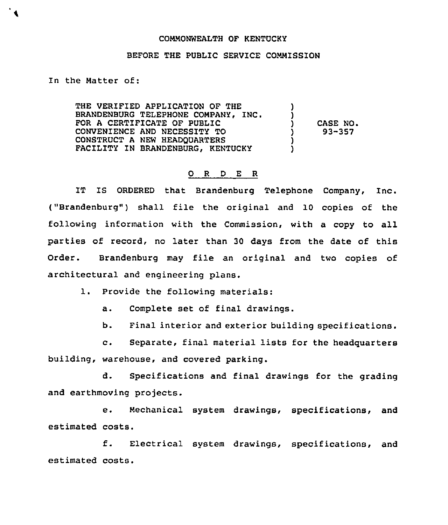## COMMONWEALTH OF KENTUCKY

## BEFORE THE PUBLIC SERVICE COMMISSION

## In the Natter of:

THE VERIFIED APPLICATION OF THE BRANDENBURG TELEPHONE COMPANY, INC. FOR A CERTIFICATE OF PUBLIC CONVENIENCE AND NECESSITY TO CONSTRUCT A NEW HEADQUARTERS FACILITY IN BRANDENBURG, KENTUCKY ) ) ) CASE NO.<br>
) 93-357 ) 93-357  $\mathbf{\tilde{j}}$ )

## 0 <sup>R</sup> <sup>D</sup> E R

IT IS ORDERED that Brandenburg Telephone Company, Inc. ("Brandenburg") shall file the original and 10 copies of the following information with the Commission, with a copy to all parties of record, no later than 30 days from the date of this Order. Brandenburg may file an original and two copies of architectural and engineering plans.

1. Provide the following materials:

a. Complete set of final drawings.

b. Final interior and exterior building specifications.

c. Separate, final material lists for the headguarters building, warehouse, and covered parking.

d. Specifications and final drawings for the grading and earthmoving projects.

e. Mechanical system drawings, specifications, and estimated costs.

f. Electrical system drawings, specifications, and estimated costs.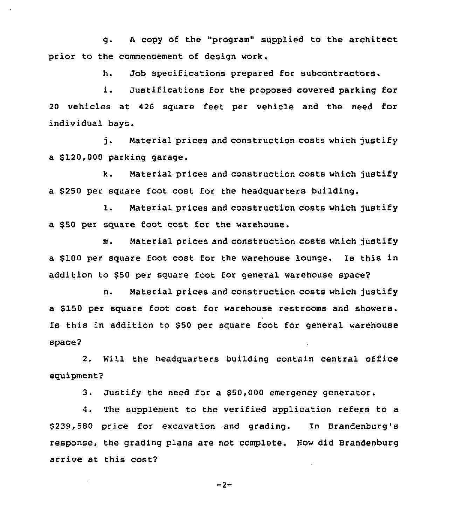g. a copy of the "program" supplied to the architect prior to the commencement of design work.

h. Job specifications prepared for subcontractors.

i. Justifications for the proposed covered parking for 20 vehicles at 426 square feet per vehicle and the need for individual bays.

j. Material prices and construction costs which justify a \$120,000 parking garage.

k. Material prices and construction costs which justify a \$ 250 per square foot cost for the headquarters building.

1. Material prices and construction costs which justify a \$50 per square foot cost for the warehouse.

m. Material prices and construction costs which justify a \$100 per square foot cost for the warehouse lounge. Is this in addition to \$50 per square foot for general warehouse space?

n. Material prices and construction costs which justify a \$150 per square foot cost for warehouse restrooms and showers. Is this in addition to \$50 per square foot for general warehouse space?

2. Will the headquarters building contain central office equipment?

3. Justify the need for a \$50,000 emergency generator.

4. The supplement to the verified application refers to a \$ 239,580 price for excavation and grading. In Brandenburg's response, the grading plans are not complete. How did Brandenburg arrive at this cost?

$$
-2 -
$$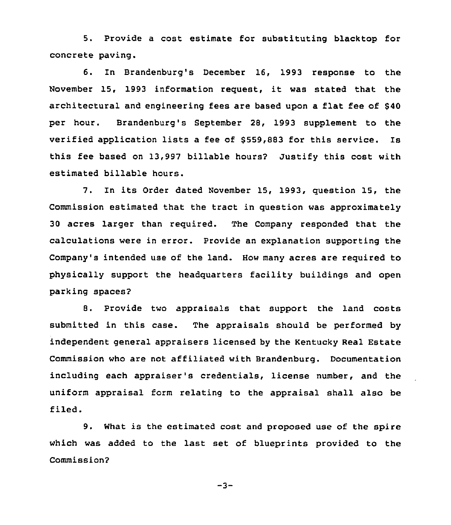5. Provide a cost estimate for substituting blacktop for concrete paving.

6. In Brandenburg's December 16, 1993 response to the November 15, <sup>1993</sup> information request, it was stated that the architectural and engineering fees are based upon a flat fee of 840 per hour. Brandenburg's September 28, 1993 supplement to the verified application lists a fee of \$559,883 for this service. Is this fee based on 13,997 billable hours? Justify this cost with estimated billable hours.

7. In its Order dated November 15, 1993, question 15, the Commission estimated that the tract in question was approximately 30 acres larger than required. The Company responded that the calculations were in error. Provide an explanation supporting the Company's intended use of the land. How many acres are required to physically support the headquarters facility buildings and open parking spaces7

8. Provide two appraisals that support the land costs submitted in this case. The appraisals should be performed by independent general appraisers licensed by the Kentucky Real Estate Commission who are not affiliated with Brandenburg. Documentation including each appraiser's credentials, license number, and the uniform appraisal form relating to the appraisal shall also be filed.

9. What is the estimated cost and proposed use of the spire which was added to the last set of blueprints provided to the Commission2

 $-3-$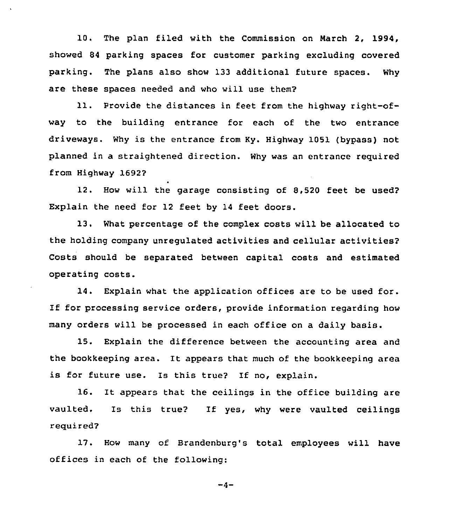10. The plan filed with the Commission on March 2, 1994, showed 84 parking spaces for customer parking excluding covered parking. The plans also show 133 additional future spaces. Why are these spaces needed and who will use them?

ll. Provide the distances in feet from the highway right-ofway to the building entrance for each of the two entrance driveways. Why is the entrance from Ky. Highway 1051 (bypass) not planned in a straightened direction. Why was an entrance reguired from Highway 1692?

12. How will the garage consisting of 8,520 feet be used? Explain the need for 12 feet by 14 feet doors.

13. What percentage of the complex costs will be allocated to the holding company unregulated activities and cellular activities? Costs should be separated between capital costs and estimated operating costs.

14. Explain what the application offices are to be used for. If for processing service orders, provide information regarding how many orders will be processed in each office on a daily basis.

15. Explain the difference between the accounting area and the bookkeeping area. It appears that much of the bookkeeping area is for future use. Is this true? If no, explain.

16. It appears that the ceilings in the office building are vaulted. Is this true? If yes, why were vaulted ceilings reguired?

17. How many of Brandenburg's total employees will have offices in each of the following:

 $-4-$